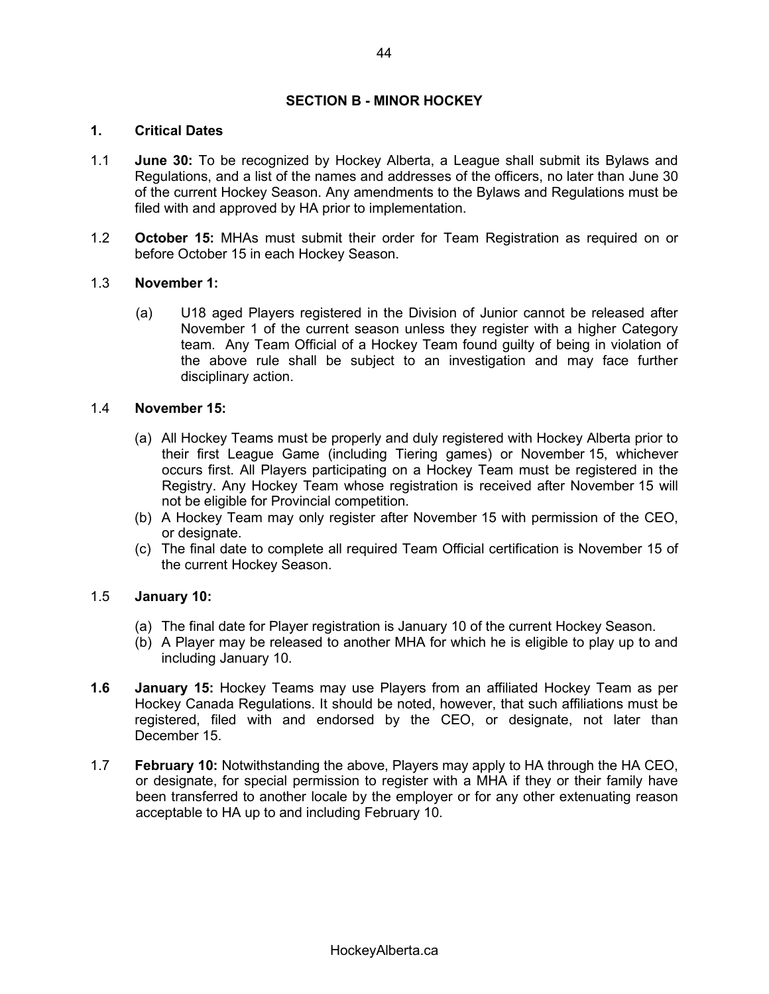# **SECTION B - MINOR HOCKEY**

### **1. Critical Dates**

- 1.1 **June 30:** To be recognized by Hockey Alberta, a League shall submit its Bylaws and Regulations, and a list of the names and addresses of the officers, no later than June 30 of the current Hockey Season. Any amendments to the Bylaws and Regulations must be filed with and approved by HA prior to implementation.
- 1.2 **October 15:** MHAs must submit their order for Team Registration as required on or before October 15 in each Hockey Season.

#### 1.3 **November 1:**

(a) U18 aged Players registered in the Division of Junior cannot be released after November 1 of the current season unless they register with a higher Category team. Any Team Official of a Hockey Team found guilty of being in violation of the above rule shall be subject to an investigation and may face further disciplinary action.

#### 1.4 **November 15:**

- (a) All Hockey Teams must be properly and duly registered with Hockey Alberta prior to their first League Game (including Tiering games) or November 15, whichever occurs first. All Players participating on a Hockey Team must be registered in the Registry. Any Hockey Team whose registration is received after November 15 will not be eligible for Provincial competition.
- (b) A Hockey Team may only register after November 15 with permission of the CEO, or designate.
- (c) The final date to complete all required Team Official certification is November 15 of the current Hockey Season.

# 1.5 **January 10:**

- (a) The final date for Player registration is January 10 of the current Hockey Season.
- (b) A Player may be released to another MHA for which he is eligible to play up to and including January 10.
- **1.6 January 15:** Hockey Teams may use Players from an affiliated Hockey Team as per Hockey Canada Regulations. It should be noted, however, that such affiliations must be registered, filed with and endorsed by the CEO, or designate, not later than December 15.
- 1.7 **February 10:** Notwithstanding the above, Players may apply to HA through the HA CEO, or designate, for special permission to register with a MHA if they or their family have been transferred to another locale by the employer or for any other extenuating reason acceptable to HA up to and including February 10.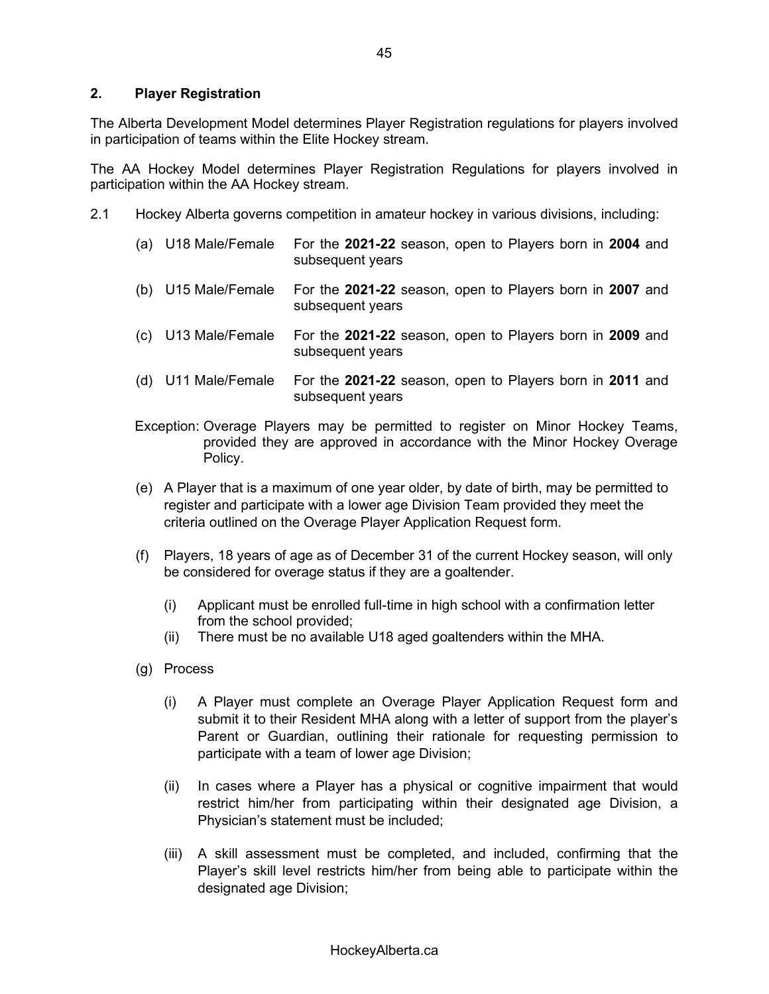## **2. Player Registration**

The Alberta Development Model determines Player Registration regulations for players involved in participation of teams within the Elite Hockey stream.

The AA Hockey Model determines Player Registration Regulations for players involved in participation within the AA Hockey stream.

- 2.1 Hockey Alberta governs competition in amateur hockey in various divisions, including:
	- (a) U18 Male/Female For the **2021-22** season, open to Players born in **2004** and subsequent years
	- (b) U15 Male/Female For the **2021-22** season, open to Players born in **2007** and subsequent years
	- (c) U13 Male/Female For the **2021-22** season, open to Players born in **2009** and subsequent years
	- (d) U11 Male/Female For the **2021-22** season, open to Players born in **2011** and subsequent years
	- Exception: Overage Players may be permitted to register on Minor Hockey Teams, provided they are approved in accordance with the Minor Hockey Overage Policy.
	- (e) A Player that is a maximum of one year older, by date of birth, may be permitted to register and participate with a lower age Division Team provided they meet the criteria outlined on the Overage Player Application Request form.
	- (f) Players, 18 years of age as of December 31 of the current Hockey season, will only be considered for overage status if they are a goaltender.
		- (i) Applicant must be enrolled full-time in high school with a confirmation letter from the school provided;
		- (ii) There must be no available U18 aged goaltenders within the MHA.
	- (g) Process
		- (i) A Player must complete an Overage Player Application Request form and submit it to their Resident MHA along with a letter of support from the player's Parent or Guardian, outlining their rationale for requesting permission to participate with a team of lower age Division;
		- (ii) In cases where a Player has a physical or cognitive impairment that would restrict him/her from participating within their designated age Division, a Physician's statement must be included;
		- (iii) A skill assessment must be completed, and included, confirming that the Player's skill level restricts him/her from being able to participate within the designated age Division;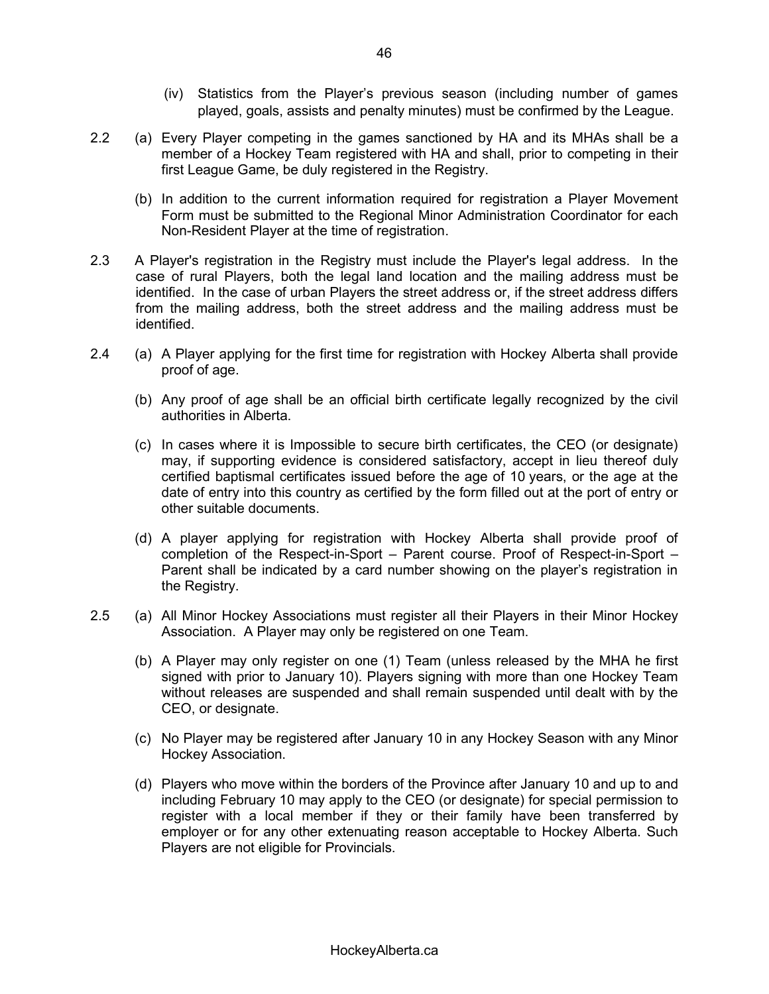- $(iv)$  Statistics from the Player's previous season (including number of games played, goals, assists and penalty minutes) must be confirmed by the League.
- 2.2 (a) Every Player competing in the games sanctioned by HA and its MHAs shall be a member of a Hockey Team registered with HA and shall, prior to competing in their first League Game, be duly registered in the Registry.
	- (b) In addition to the current information required for registration a Player Movement Form must be submitted to the Regional Minor Administration Coordinator for each Non-Resident Player at the time of registration.
- 2.3 A Player's registration in the Registry must include the Player's legal address. In the case of rural Players, both the legal land location and the mailing address must be identified. In the case of urban Players the street address or, if the street address differs from the mailing address, both the street address and the mailing address must be identified.
- 2.4 (a) A Player applying for the first time for registration with Hockey Alberta shall provide proof of age.
	- (b) Any proof of age shall be an official birth certificate legally recognized by the civil authorities in Alberta.
	- (c) In cases where it is Impossible to secure birth certificates, the CEO (or designate) may, if supporting evidence is considered satisfactory, accept in lieu thereof duly certified baptismal certificates issued before the age of 10 years, or the age at the date of entry into this country as certified by the form filled out at the port of entry or other suitable documents.
	- (d) A player applying for registration with Hockey Alberta shall provide proof of completion of the Respect-in-Sport  $-$  Parent course. Proof of Respect-in-Sport  $-$ Parent shall be indicated by a card number showing on the player's registration in the Registry.
- 2.5 (a) All Minor Hockey Associations must register all their Players in their Minor Hockey Association. A Player may only be registered on one Team.
	- (b) A Player may only register on one (1) Team (unless released by the MHA he first signed with prior to January 10). Players signing with more than one Hockey Team without releases are suspended and shall remain suspended until dealt with by the CEO, or designate.
	- (c) No Player may be registered after January 10 in any Hockey Season with any Minor Hockey Association.
	- (d) Players who move within the borders of the Province after January 10 and up to and including February 10 may apply to the CEO (or designate) for special permission to register with a local member if they or their family have been transferred by employer or for any other extenuating reason acceptable to Hockey Alberta. Such Players are not eligible for Provincials.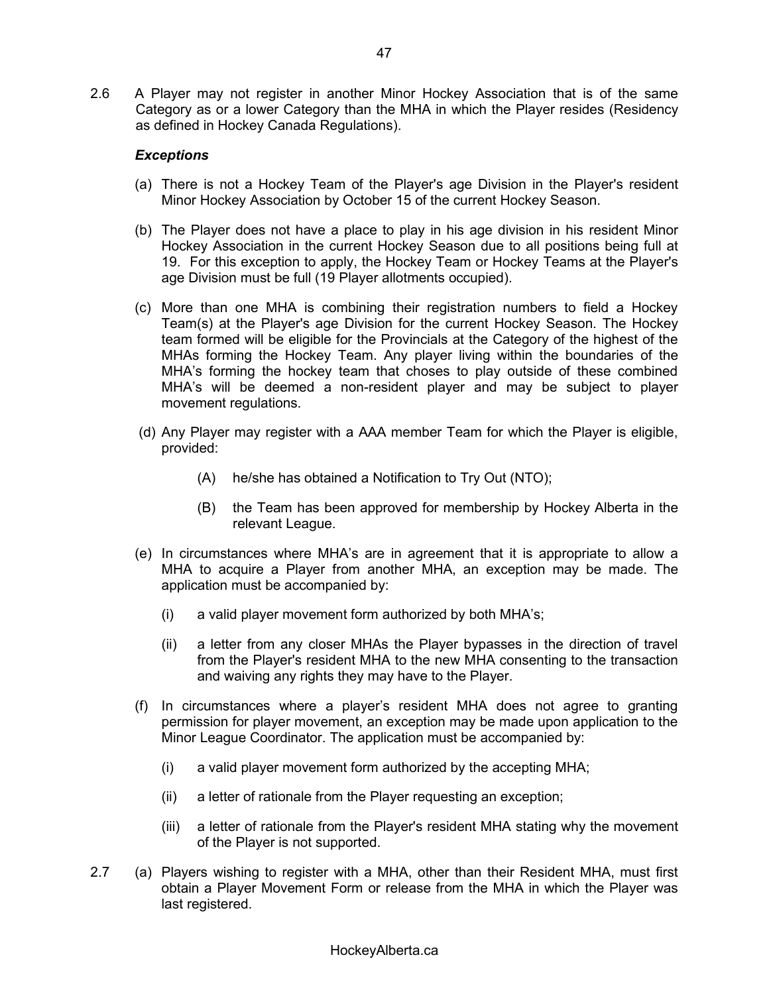2.6 A Player may not register in another Minor Hockey Association that is of the same Category as or a lower Category than the MHA in which the Player resides (Residency as defined in Hockey Canada Regulations).

### *Exceptions*

- (a) There is not a Hockey Team of the Player's age Division in the Player's resident Minor Hockey Association by October 15 of the current Hockey Season.
- (b) The Player does not have a place to play in his age division in his resident Minor Hockey Association in the current Hockey Season due to all positions being full at 19. For this exception to apply, the Hockey Team or Hockey Teams at the Player's age Division must be full (19 Player allotments occupied).
- (c) More than one MHA is combining their registration numbers to field a Hockey Team(s) at the Player's age Division for the current Hockey Season. The Hockey team formed will be eligible for the Provincials at the Category of the highest of the MHAs forming the Hockey Team. Any player living within the boundaries of the MHA's forming the hockey team that choses to play outside of these combined MHA's will be deemed a non-resident player and may be subject to player movement regulations.
- (d) Any Player may register with a AAA member Team for which the Player is eligible, provided:
	- (A) he/she has obtained a Notification to Try Out (NTO);
	- (B) the Team has been approved for membership by Hockey Alberta in the relevant League.
- $(e)$  In circumstances where MHA's are in agreement that it is appropriate to allow a MHA to acquire a Player from another MHA, an exception may be made. The application must be accompanied by:
	- (i) a valid player movement form authorized by both MHA's;
	- (ii) a letter from any closer MHAs the Player bypasses in the direction of travel from the Player's resident MHA to the new MHA consenting to the transaction and waiving any rights they may have to the Player.
- (f) In circumstances where a player's resident MHA does not agree to granting permission for player movement, an exception may be made upon application to the Minor League Coordinator. The application must be accompanied by:
	- (i) a valid player movement form authorized by the accepting MHA;
	- (ii) a letter of rationale from the Player requesting an exception;
	- (iii) a letter of rationale from the Player's resident MHA stating why the movement of the Player is not supported.
- 2.7 (a) Players wishing to register with a MHA, other than their Resident MHA, must first obtain a Player Movement Form or release from the MHA in which the Player was last registered.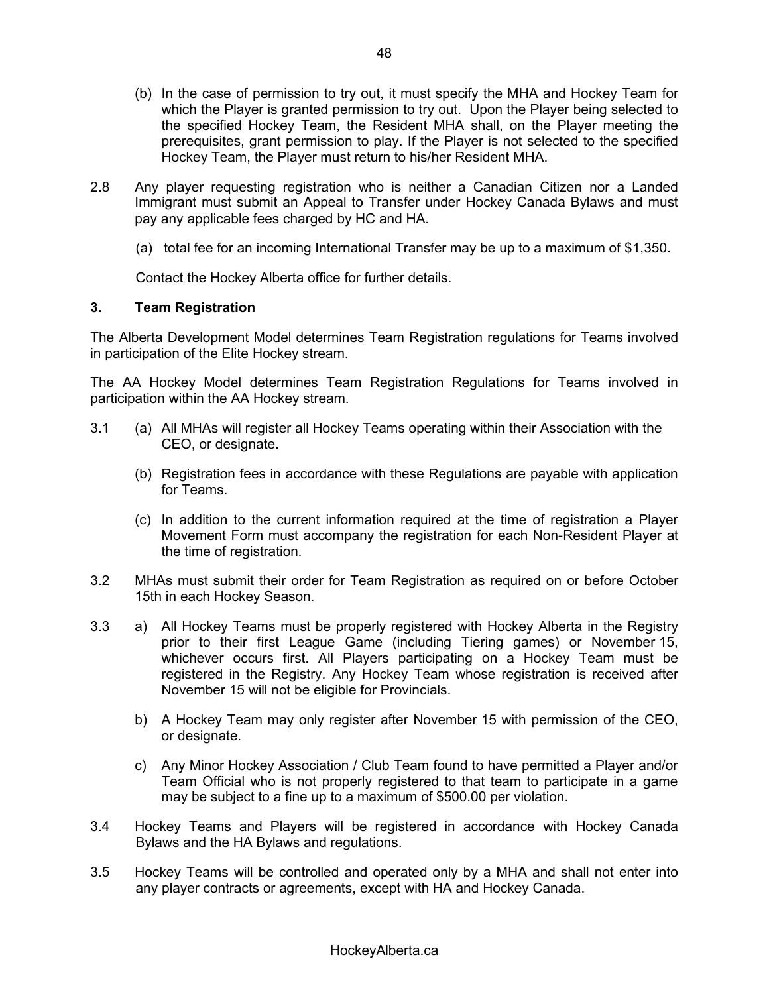- (b) In the case of permission to try out, it must specify the MHA and Hockey Team for which the Player is granted permission to try out. Upon the Player being selected to the specified Hockey Team, the Resident MHA shall, on the Player meeting the prerequisites, grant permission to play. If the Player is not selected to the specified Hockey Team, the Player must return to his/her Resident MHA.
- 2.8 Any player requesting registration who is neither a Canadian Citizen nor a Landed Immigrant must submit an Appeal to Transfer under Hockey Canada Bylaws and must pay any applicable fees charged by HC and HA.
	- (a) total fee for an incoming International Transfer may be up to a maximum of \$1,350.

Contact the Hockey Alberta office for further details.

### **3. Team Registration**

The Alberta Development Model determines Team Registration regulations for Teams involved in participation of the Elite Hockey stream.

The AA Hockey Model determines Team Registration Regulations for Teams involved in participation within the AA Hockey stream.

- 3.1 (a) All MHAs will register all Hockey Teams operating within their Association with the CEO, or designate.
	- (b) Registration fees in accordance with these Regulations are payable with application for Teams.
	- (c) In addition to the current information required at the time of registration a Player Movement Form must accompany the registration for each Non-Resident Player at the time of registration.
- 3.2 MHAs must submit their order for Team Registration as required on or before October 15th in each Hockey Season.
- 3.3 a) All Hockey Teams must be properly registered with Hockey Alberta in the Registry prior to their first League Game (including Tiering games) or November 15, whichever occurs first. All Players participating on a Hockey Team must be registered in the Registry. Any Hockey Team whose registration is received after November 15 will not be eligible for Provincials.
	- b) A Hockey Team may only register after November 15 with permission of the CEO, or designate.
	- c) Any Minor Hockey Association / Club Team found to have permitted a Player and/or Team Official who is not properly registered to that team to participate in a game may be subject to a fine up to a maximum of \$500.00 per violation.
- 3.4 Hockey Teams and Players will be registered in accordance with Hockey Canada Bylaws and the HA Bylaws and regulations.
- 3.5 Hockey Teams will be controlled and operated only by a MHA and shall not enter into any player contracts or agreements, except with HA and Hockey Canada.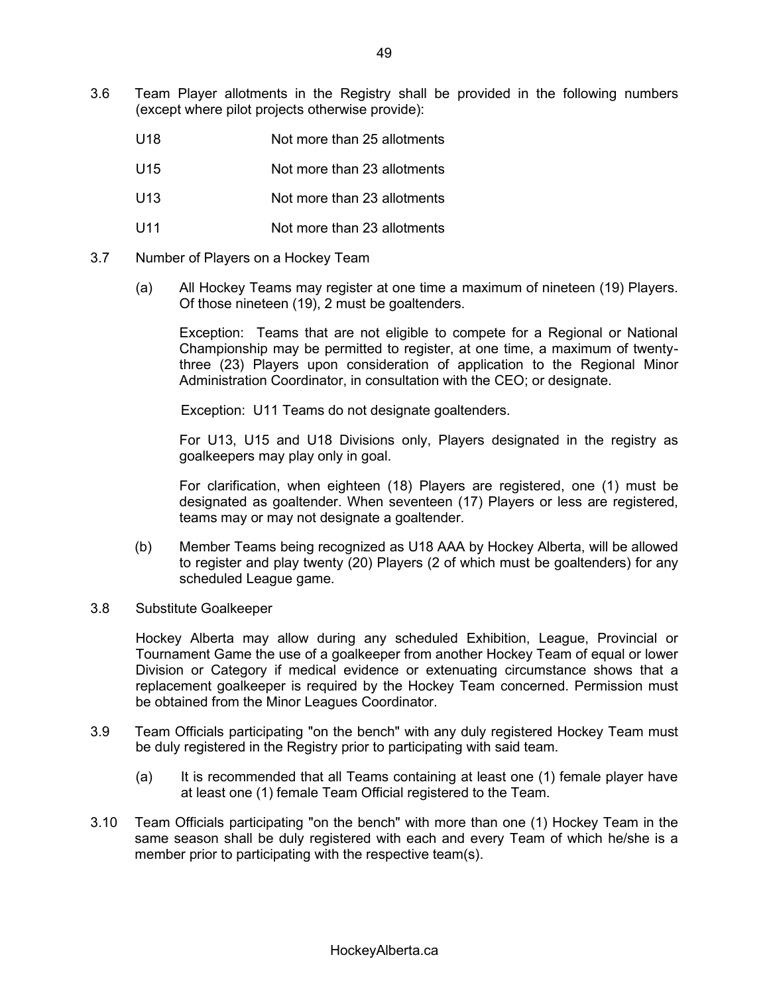- 3.6 Team Player allotments in the Registry shall be provided in the following numbers (except where pilot projects otherwise provide):
	- U18 Not more than 25 allotments
	- U15 Not more than 23 allotments
	- U13 Not more than 23 allotments
	- U11 Not more than 23 allotments
- 3.7 Number of Players on a Hockey Team
	- (a) All Hockey Teams may register at one time a maximum of nineteen (19) Players. Of those nineteen (19), 2 must be goaltenders.

Exception: Teams that are not eligible to compete for a Regional or National Championship may be permitted to register, at one time, a maximum of twentythree (23) Players upon consideration of application to the Regional Minor Administration Coordinator, in consultation with the CEO; or designate.

Exception: U11 Teams do not designate goaltenders.

For U13, U15 and U18 Divisions only, Players designated in the registry as goalkeepers may play only in goal.

For clarification, when eighteen (18) Players are registered, one (1) must be designated as goaltender. When seventeen (17) Players or less are registered, teams may or may not designate a goaltender.

- (b) Member Teams being recognized as U18 AAA by Hockey Alberta, will be allowed to register and play twenty (20) Players (2 of which must be goaltenders) for any scheduled League game.
- 3.8 Substitute Goalkeeper

Hockey Alberta may allow during any scheduled Exhibition, League, Provincial or Tournament Game the use of a goalkeeper from another Hockey Team of equal or lower Division or Category if medical evidence or extenuating circumstance shows that a replacement goalkeeper is required by the Hockey Team concerned. Permission must be obtained from the Minor Leagues Coordinator.

- 3.9 Team Officials participating "on the bench" with any duly registered Hockey Team must be duly registered in the Registry prior to participating with said team.
	- (a) It is recommended that all Teams containing at least one (1) female player have at least one (1) female Team Official registered to the Team.
- 3.10 Team Officials participating "on the bench" with more than one (1) Hockey Team in the same season shall be duly registered with each and every Team of which he/she is a member prior to participating with the respective team(s).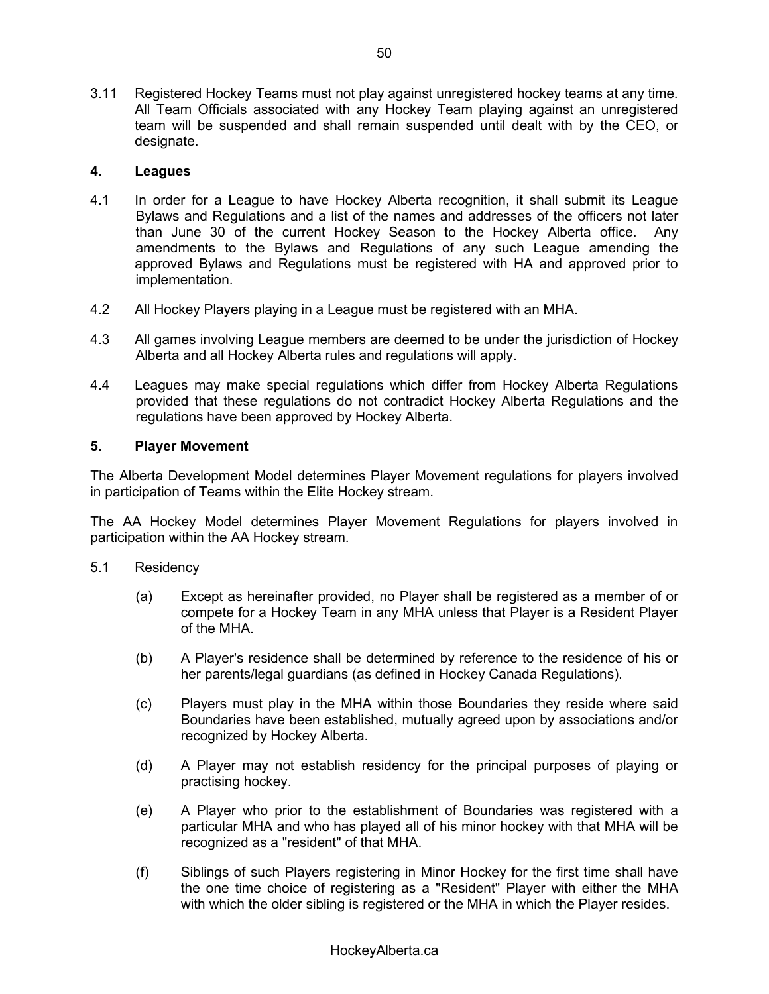3.11 Registered Hockey Teams must not play against unregistered hockey teams at any time. All Team Officials associated with any Hockey Team playing against an unregistered team will be suspended and shall remain suspended until dealt with by the CEO, or designate.

# **4. Leagues**

- 4.1 In order for a League to have Hockey Alberta recognition, it shall submit its League Bylaws and Regulations and a list of the names and addresses of the officers not later than June 30 of the current Hockey Season to the Hockey Alberta office. Any amendments to the Bylaws and Regulations of any such League amending the approved Bylaws and Regulations must be registered with HA and approved prior to implementation.
- 4.2 All Hockey Players playing in a League must be registered with an MHA.
- 4.3 All games involving League members are deemed to be under the jurisdiction of Hockey Alberta and all Hockey Alberta rules and regulations will apply.
- 4.4 Leagues may make special regulations which differ from Hockey Alberta Regulations provided that these regulations do not contradict Hockey Alberta Regulations and the regulations have been approved by Hockey Alberta.

### **5. Player Movement**

The Alberta Development Model determines Player Movement regulations for players involved in participation of Teams within the Elite Hockey stream.

The AA Hockey Model determines Player Movement Regulations for players involved in participation within the AA Hockey stream.

#### 5.1 Residency

- (a) Except as hereinafter provided, no Player shall be registered as a member of or compete for a Hockey Team in any MHA unless that Player is a Resident Player of the MHA.
- (b) A Player's residence shall be determined by reference to the residence of his or her parents/legal guardians (as defined in Hockey Canada Regulations).
- (c) Players must play in the MHA within those Boundaries they reside where said Boundaries have been established, mutually agreed upon by associations and/or recognized by Hockey Alberta.
- (d) A Player may not establish residency for the principal purposes of playing or practising hockey.
- (e) A Player who prior to the establishment of Boundaries was registered with a particular MHA and who has played all of his minor hockey with that MHA will be recognized as a "resident" of that MHA.
- (f) Siblings of such Players registering in Minor Hockey for the first time shall have the one time choice of registering as a "Resident" Player with either the MHA with which the older sibling is registered or the MHA in which the Player resides.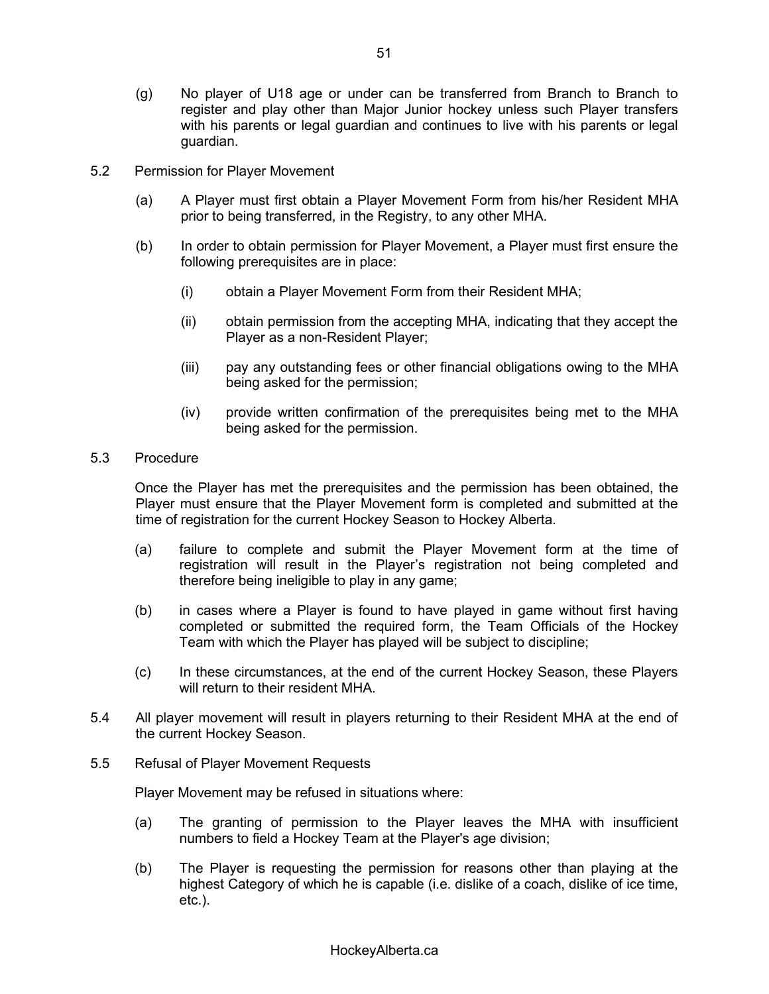- (g) No player of U18 age or under can be transferred from Branch to Branch to register and play other than Major Junior hockey unless such Player transfers with his parents or legal guardian and continues to live with his parents or legal guardian.
- 5.2 Permission for Player Movement
	- (a) A Player must first obtain a Player Movement Form from his/her Resident MHA prior to being transferred, in the Registry, to any other MHA.
	- (b) In order to obtain permission for Player Movement, a Player must first ensure the following prerequisites are in place:
		- (i) obtain a Player Movement Form from their Resident MHA;
		- (ii) obtain permission from the accepting MHA, indicating that they accept the Player as a non-Resident Player;
		- (iii) pay any outstanding fees or other financial obligations owing to the MHA being asked for the permission;
		- (iv) provide written confirmation of the prerequisites being met to the MHA being asked for the permission.
- 5.3 Procedure

Once the Player has met the prerequisites and the permission has been obtained, the Player must ensure that the Player Movement form is completed and submitted at the time of registration for the current Hockey Season to Hockey Alberta.

- (a) failure to complete and submit the Player Movement form at the time of registration will result in the Player's registration not being completed and therefore being ineligible to play in any game;
- (b) in cases where a Player is found to have played in game without first having completed or submitted the required form, the Team Officials of the Hockey Team with which the Player has played will be subject to discipline;
- (c) In these circumstances, at the end of the current Hockey Season, these Players will return to their resident MHA.
- 5.4 All player movement will result in players returning to their Resident MHA at the end of the current Hockey Season.
- 5.5 Refusal of Player Movement Requests

Player Movement may be refused in situations where:

- (a) The granting of permission to the Player leaves the MHA with insufficient numbers to field a Hockey Team at the Player's age division;
- (b) The Player is requesting the permission for reasons other than playing at the highest Category of which he is capable (i.e. dislike of a coach, dislike of ice time, etc.).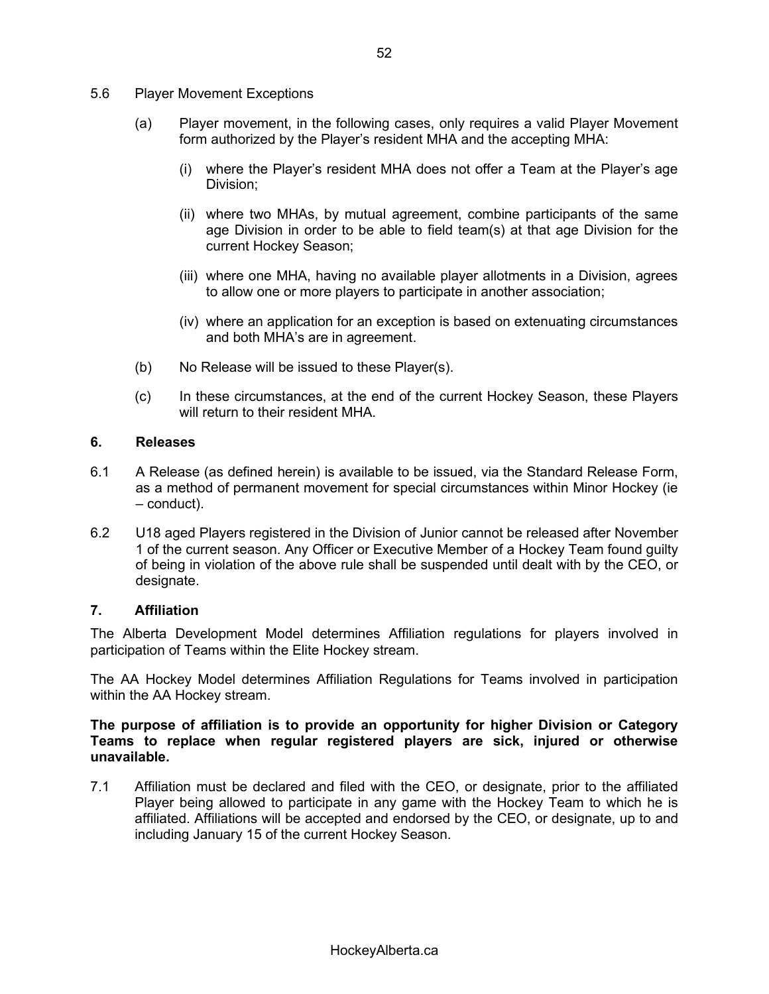- 5.6 Player Movement Exceptions
	- (a) Player movement, in the following cases, only requires a valid Player Movement form authorized by the Player's resident MHA and the accepting MHA:
		- (i) where the Player's resident MHA does not offer a Team at the Player's age Division;
		- (ii) where two MHAs, by mutual agreement, combine participants of the same age Division in order to be able to field team(s) at that age Division for the current Hockey Season;
		- (iii) where one MHA, having no available player allotments in a Division, agrees to allow one or more players to participate in another association;
		- (iv) where an application for an exception is based on extenuating circumstances and both MHA's are in agreement.
	- (b) No Release will be issued to these Player(s).
	- (c) In these circumstances, at the end of the current Hockey Season, these Players will return to their resident MHA

### **6. Releases**

- 6.1 A Release (as defined herein) is available to be issued, via the Standard Release Form, as a method of permanent movement for special circumstances within Minor Hockey (ie  $-$  conduct).
- 6.2 U18 aged Players registered in the Division of Junior cannot be released after November 1 of the current season. Any Officer or Executive Member of a Hockey Team found guilty of being in violation of the above rule shall be suspended until dealt with by the CEO, or designate.

#### **7. Affiliation**

The Alberta Development Model determines Affiliation regulations for players involved in participation of Teams within the Elite Hockey stream.

The AA Hockey Model determines Affiliation Regulations for Teams involved in participation within the AA Hockey stream.

**The purpose of affiliation is to provide an opportunity for higher Division or Category Teams to replace when regular registered players are sick, injured or otherwise unavailable.**

7.1 Affiliation must be declared and filed with the CEO, or designate, prior to the affiliated Player being allowed to participate in any game with the Hockey Team to which he is affiliated. Affiliations will be accepted and endorsed by the CEO, or designate, up to and including January 15 of the current Hockey Season.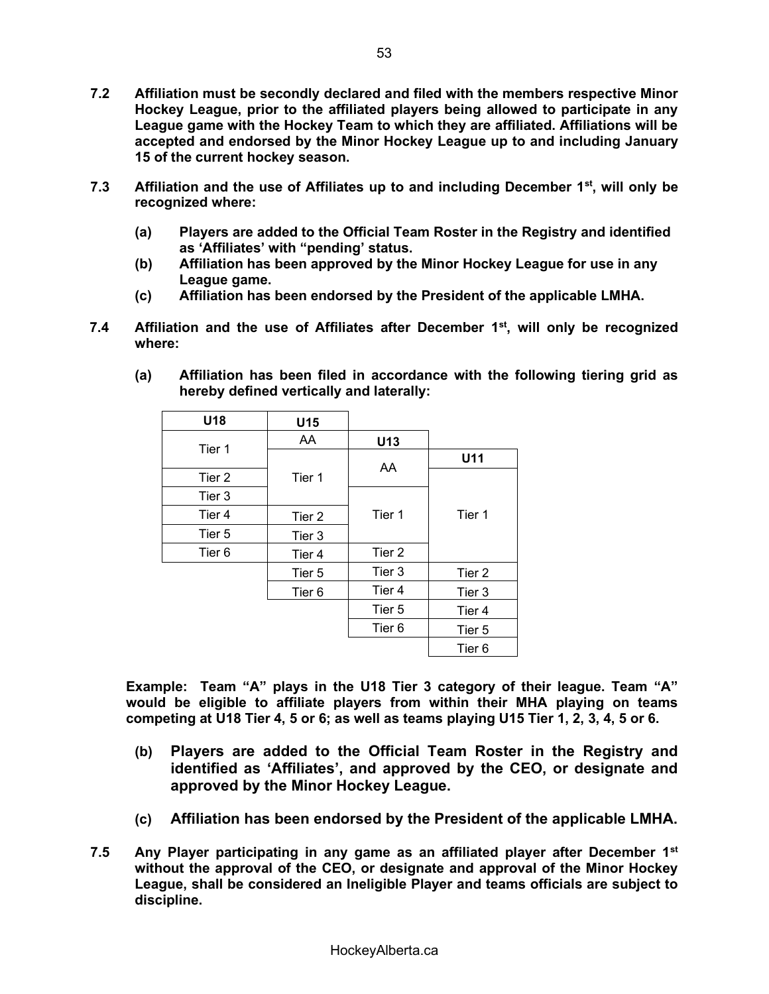- **7.2 Affiliation must be secondly declared and filed with the members respective Minor Hockey League, prior to the affiliated players being allowed to participate in any League game with the Hockey Team to which they are affiliated. Affiliations will be accepted and endorsed by the Minor Hockey League up to and including January 15 of the current hockey season.**
- **7.3 Affiliation and the use of Affiliates up to and including December 1st, will only be recognized where:**
	- **(a) Players are added to the Official Team Roster in the Registry and identified**  as 'Affiliates' with "pending' status.
	- **(b) Affiliation has been approved by the Minor Hockey League for use in any League game.**
	- **(c) Affiliation has been endorsed by the President of the applicable LMHA.**
- **7.4 Affiliation and the use of Affiliates after December 1st, will only be recognized where:**

| U18               | U15               |                   |        |  |
|-------------------|-------------------|-------------------|--------|--|
|                   | AA                | U13               |        |  |
| Tier 1            |                   |                   | U11    |  |
| Tier 2            | Tier 1            | AA                |        |  |
| Tier 3            |                   |                   |        |  |
| Tier 4            | Tier 2            | Tier 1            | Tier 1 |  |
| Tier 5            | Tier 3            |                   |        |  |
| Tier <sub>6</sub> | Tier 4            | Tier 2            |        |  |
|                   | Tier 5            | Tier 3            | Tier 2 |  |
|                   | Tier <sub>6</sub> | Tier 4            | Tier 3 |  |
|                   |                   | Tier 5            | Tier 4 |  |
|                   |                   | Tier <sub>6</sub> | Tier 5 |  |
|                   |                   |                   | Tier 6 |  |

**(a) Affiliation has been filed in accordance with the following tiering grid as hereby defined vertically and laterally:** 

**Example: Team "A" plays in the U18 Tier 3 category of their league. Team "A" would be eligible to affiliate players from within their MHA playing on teams competing at U18 Tier 4, 5 or 6; as well as teams playing U15 Tier 1, 2, 3, 4, 5 or 6.** 

- **(b) Players are added to the Official Team Roster in the Registry and**  identified as 'Affiliates', and approved by the CEO, or designate and **approved by the Minor Hockey League.**
- **(c) Affiliation has been endorsed by the President of the applicable LMHA.**
- **7.5 Any Player participating in any game as an affiliated player after December 1st without the approval of the CEO, or designate and approval of the Minor Hockey League, shall be considered an Ineligible Player and teams officials are subject to discipline.**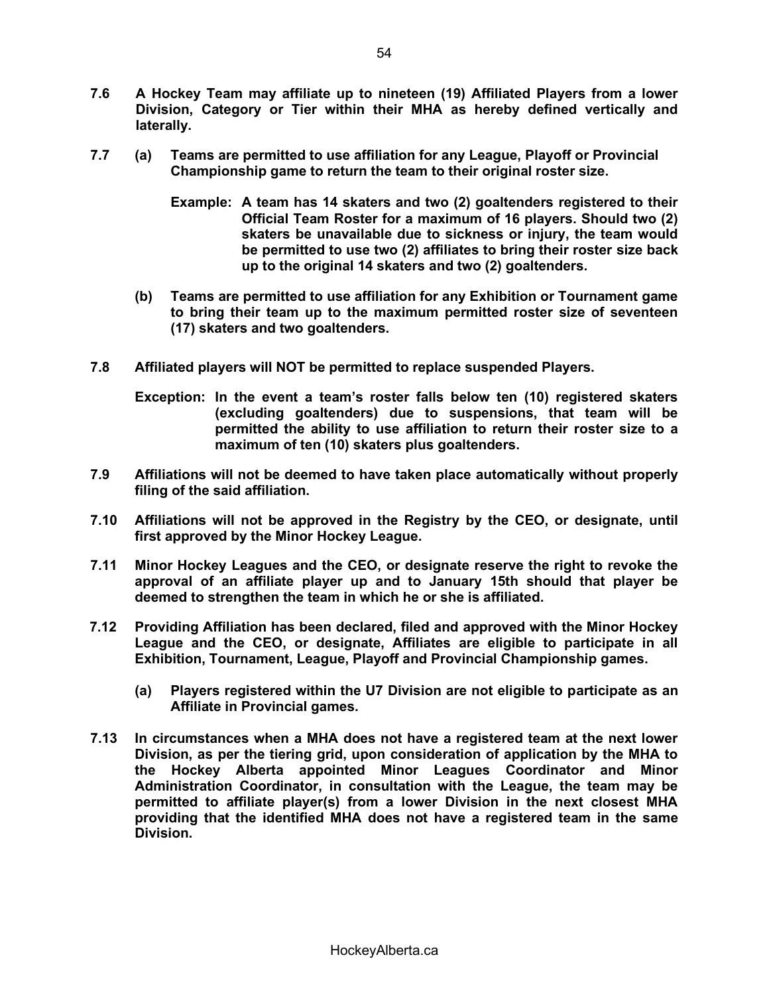- **7.6 A Hockey Team may affiliate up to nineteen (19) Affiliated Players from a lower Division, Category or Tier within their MHA as hereby defined vertically and laterally.**
- **7.7 (a) Teams are permitted to use affiliation for any League, Playoff or Provincial Championship game to return the team to their original roster size.** 
	- **Example: A team has 14 skaters and two (2) goaltenders registered to their Official Team Roster for a maximum of 16 players. Should two (2) skaters be unavailable due to sickness or injury, the team would be permitted to use two (2) affiliates to bring their roster size back up to the original 14 skaters and two (2) goaltenders.**
	- **(b) Teams are permitted to use affiliation for any Exhibition or Tournament game to bring their team up to the maximum permitted roster size of seventeen (17) skaters and two goaltenders.**
- **7.8 Affiliated players will NOT be permitted to replace suspended Players.**
	- **Exception:** In the event a team's roster falls below ten (10) registered skaters **(excluding goaltenders) due to suspensions, that team will be permitted the ability to use affiliation to return their roster size to a maximum of ten (10) skaters plus goaltenders.**
- **7.9 Affiliations will not be deemed to have taken place automatically without properly filing of the said affiliation.**
- **7.10 Affiliations will not be approved in the Registry by the CEO, or designate, until first approved by the Minor Hockey League.**
- **7.11 Minor Hockey Leagues and the CEO, or designate reserve the right to revoke the approval of an affiliate player up and to January 15th should that player be deemed to strengthen the team in which he or she is affiliated.**
- **7.12 Providing Affiliation has been declared, filed and approved with the Minor Hockey League and the CEO, or designate, Affiliates are eligible to participate in all Exhibition, Tournament, League, Playoff and Provincial Championship games.** 
	- **(a) Players registered within the U7 Division are not eligible to participate as an Affiliate in Provincial games.**
- **7.13 In circumstances when a MHA does not have a registered team at the next lower Division, as per the tiering grid, upon consideration of application by the MHA to the Hockey Alberta appointed Minor Leagues Coordinator and Minor Administration Coordinator, in consultation with the League, the team may be permitted to affiliate player(s) from a lower Division in the next closest MHA providing that the identified MHA does not have a registered team in the same Division.**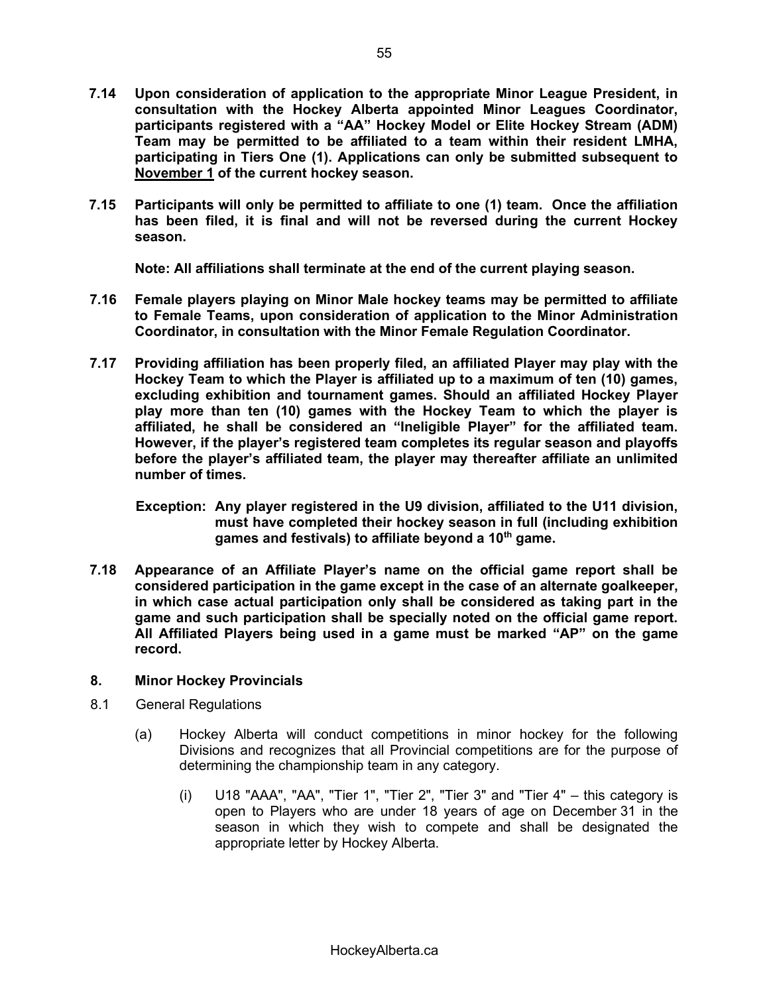- **7.14 Upon consideration of application to the appropriate Minor League President, in consultation with the Hockey Alberta appointed Minor Leagues Coordinator,**  participants registered with a "AA" Hockey Model or Elite Hockey Stream (ADM) **Team may be permitted to be affiliated to a team within their resident LMHA, participating in Tiers One (1). Applications can only be submitted subsequent to November 1 of the current hockey season.**
- **7.15 Participants will only be permitted to affiliate to one (1) team. Once the affiliation has been filed, it is final and will not be reversed during the current Hockey season.**

**Note: All affiliations shall terminate at the end of the current playing season.** 

- **7.16 Female players playing on Minor Male hockey teams may be permitted to affiliate to Female Teams, upon consideration of application to the Minor Administration Coordinator, in consultation with the Minor Female Regulation Coordinator.**
- **7.17 Providing affiliation has been properly filed, an affiliated Player may play with the Hockey Team to which the Player is affiliated up to a maximum of ten (10) games, excluding exhibition and tournament games. Should an affiliated Hockey Player play more than ten (10) games with the Hockey Team to which the player is**  affiliated, he shall be considered an "Ineligible Player" for the affiliated team. However, if the player's registered team completes its regular season and playoffs before the player's affiliated team, the player may thereafter affiliate an unlimited **number of times.**
	- **Exception: Any player registered in the U9 division, affiliated to the U11 division, must have completed their hockey season in full (including exhibition games and festivals) to affiliate beyond a 10th game.**
- **7.18** Appearance of an Affiliate Player's name on the official game report shall be **considered participation in the game except in the case of an alternate goalkeeper, in which case actual participation only shall be considered as taking part in the game and such participation shall be specially noted on the official game report.**  All Affiliated Players being used in a game must be marked "AP" on the game **record.**

# **8. Minor Hockey Provincials**

- 8.1 General Regulations
	- (a) Hockey Alberta will conduct competitions in minor hockey for the following Divisions and recognizes that all Provincial competitions are for the purpose of determining the championship team in any category.
		- (i)  $U18$  "AAA", "AA", "Tier 1", "Tier 2", "Tier 3" and "Tier 4"  $-$  this category is open to Players who are under 18 years of age on December 31 in the season in which they wish to compete and shall be designated the appropriate letter by Hockey Alberta.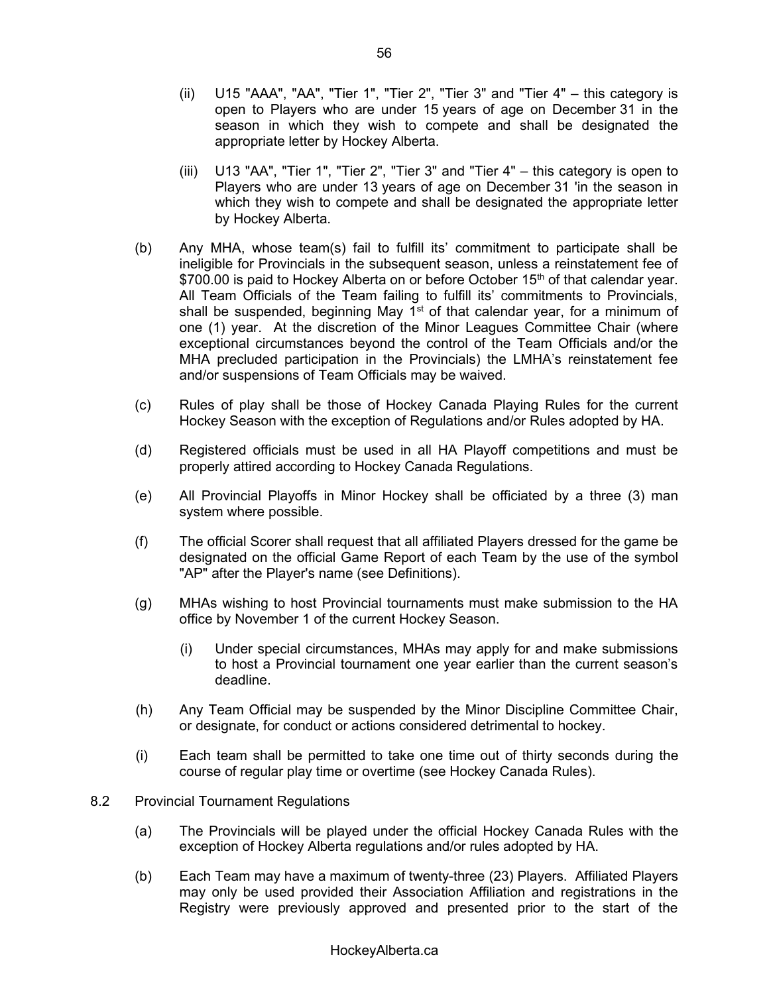- (ii)  $U15$  "AAA", "AA", "Tier 1", "Tier 2", "Tier 3" and "Tier 4"  $-$  this category is open to Players who are under 15 years of age on December 31 in the season in which they wish to compete and shall be designated the appropriate letter by Hockey Alberta.
- (iii)  $U13$  "AA", "Tier 1", "Tier 2", "Tier 3" and "Tier 4"  $-$  this category is open to Players who are under 13 years of age on December 31 'in the season in which they wish to compete and shall be designated the appropriate letter by Hockey Alberta.
- (b) Any MHA, whose team(s) fail to fulfill its' commitment to participate shall be ineligible for Provincials in the subsequent season, unless a reinstatement fee of \$700.00 is paid to Hockey Alberta on or before October 15<sup>th</sup> of that calendar year. All Team Officials of the Team failing to fulfill its' commitments to Provincials, shall be suspended, beginning May 1<sup>st</sup> of that calendar year, for a minimum of one (1) year. At the discretion of the Minor Leagues Committee Chair (where exceptional circumstances beyond the control of the Team Officials and/or the MHA precluded participation in the Provincials) the LMHA's reinstatement fee and/or suspensions of Team Officials may be waived.
- (c) Rules of play shall be those of Hockey Canada Playing Rules for the current Hockey Season with the exception of Regulations and/or Rules adopted by HA.
- (d) Registered officials must be used in all HA Playoff competitions and must be properly attired according to Hockey Canada Regulations.
- (e) All Provincial Playoffs in Minor Hockey shall be officiated by a three (3) man system where possible.
- (f) The official Scorer shall request that all affiliated Players dressed for the game be designated on the official Game Report of each Team by the use of the symbol "AP" after the Player's name (see Definitions).
- (g) MHAs wishing to host Provincial tournaments must make submission to the HA office by November 1 of the current Hockey Season.
	- (i) Under special circumstances, MHAs may apply for and make submissions to host a Provincial tournament one year earlier than the current season's deadline.
- (h) Any Team Official may be suspended by the Minor Discipline Committee Chair, or designate, for conduct or actions considered detrimental to hockey.
- (i) Each team shall be permitted to take one time out of thirty seconds during the course of regular play time or overtime (see Hockey Canada Rules).
- 8.2 Provincial Tournament Regulations
	- (a) The Provincials will be played under the official Hockey Canada Rules with the exception of Hockey Alberta regulations and/or rules adopted by HA.
	- (b) Each Team may have a maximum of twenty-three (23) Players. Affiliated Players may only be used provided their Association Affiliation and registrations in the Registry were previously approved and presented prior to the start of the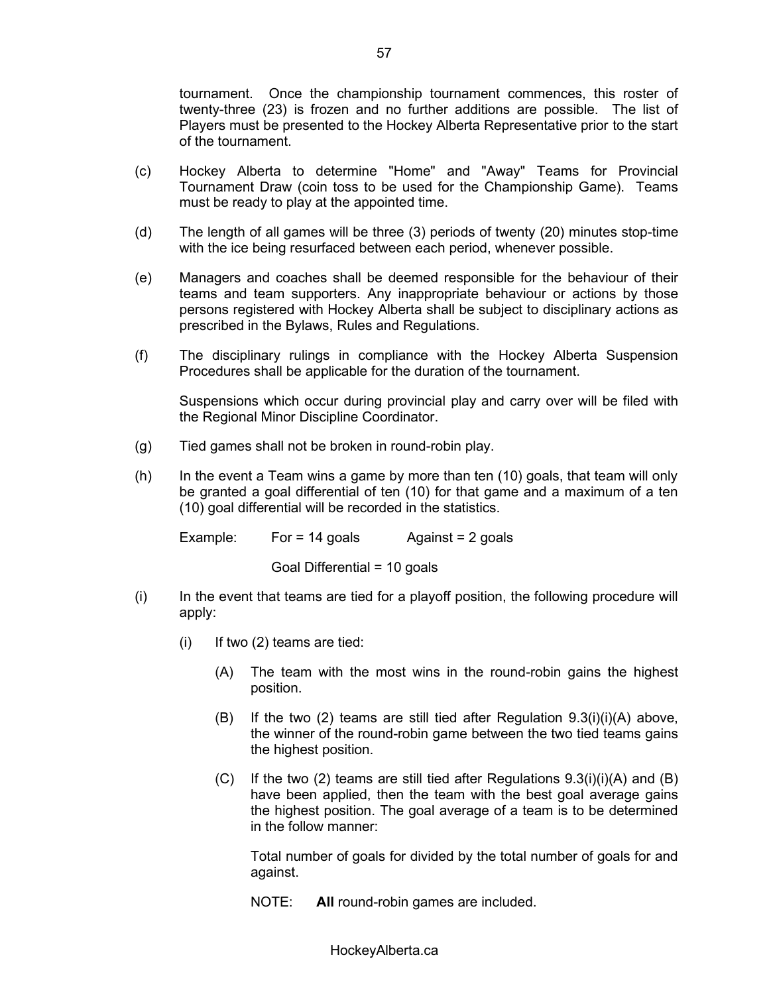tournament. Once the championship tournament commences, this roster of twenty-three (23) is frozen and no further additions are possible. The list of Players must be presented to the Hockey Alberta Representative prior to the start of the tournament.

- (c) Hockey Alberta to determine "Home" and "Away" Teams for Provincial Tournament Draw (coin toss to be used for the Championship Game). Teams must be ready to play at the appointed time.
- (d) The length of all games will be three (3) periods of twenty (20) minutes stop-time with the ice being resurfaced between each period, whenever possible.
- (e) Managers and coaches shall be deemed responsible for the behaviour of their teams and team supporters. Any inappropriate behaviour or actions by those persons registered with Hockey Alberta shall be subject to disciplinary actions as prescribed in the Bylaws, Rules and Regulations.
- (f) The disciplinary rulings in compliance with the Hockey Alberta Suspension Procedures shall be applicable for the duration of the tournament.

Suspensions which occur during provincial play and carry over will be filed with the Regional Minor Discipline Coordinator.

- (g) Tied games shall not be broken in round-robin play.
- (h) In the event a Team wins a game by more than ten (10) goals, that team will only be granted a goal differential of ten (10) for that game and a maximum of a ten (10) goal differential will be recorded in the statistics.

Example: For =  $14$  goals Against =  $2$  goals

Goal Differential = 10 goals

- (i) In the event that teams are tied for a playoff position, the following procedure will apply:
	- $(i)$  If two  $(2)$  teams are tied:
		- (A) The team with the most wins in the round-robin gains the highest position.
		- (B) If the two (2) teams are still tied after Regulation 9.3(i)(i)(A) above, the winner of the round-robin game between the two tied teams gains the highest position.
		- $(C)$  If the two (2) teams are still tied after Regulations  $9.3(i)(i)(A)$  and (B) have been applied, then the team with the best goal average gains the highest position. The goal average of a team is to be determined in the follow manner:

Total number of goals for divided by the total number of goals for and against.

NOTE: **All** round-robin games are included.

HockeyAlberta.ca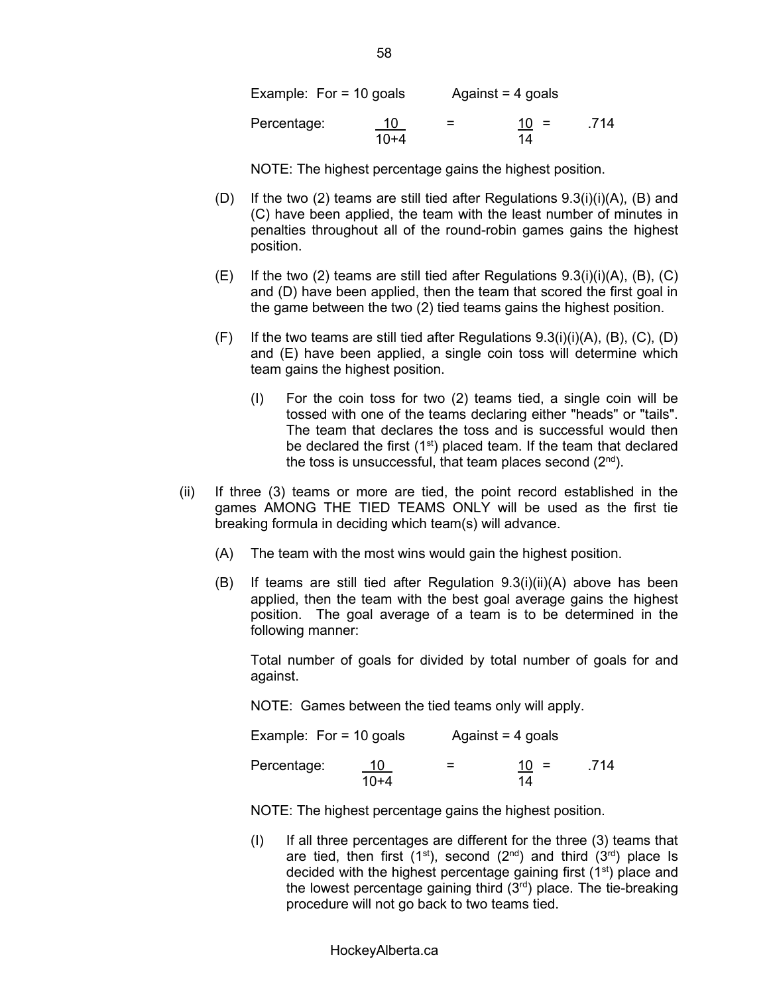| Example: For $=$ 10 goals |              | Against $=$ 4 goals |              |      |
|---------------------------|--------------|---------------------|--------------|------|
| Percentage:               | 10<br>$10+4$ | $=$                 | $10 =$<br>14 | .714 |

NOTE: The highest percentage gains the highest position.

- (D) If the two (2) teams are still tied after Regulations 9.3(i)(i)(A), (B) and (C) have been applied, the team with the least number of minutes in penalties throughout all of the round-robin games gains the highest position.
- (E) If the two (2) teams are still tied after Regulations  $9.3(i)(i)(A)$ , (B), (C) and (D) have been applied, then the team that scored the first goal in the game between the two (2) tied teams gains the highest position.
- $(F)$  If the two teams are still tied after Regulations  $9.3(i)(i)(A)$ ,  $(B)$ ,  $(C)$ ,  $(D)$ and (E) have been applied, a single coin toss will determine which team gains the highest position.
	- (I) For the coin toss for two (2) teams tied, a single coin will be tossed with one of the teams declaring either "heads" or "tails". The team that declares the toss and is successful would then be declared the first  $(1<sup>st</sup>)$  placed team. If the team that declared the toss is unsuccessful, that team places second  $(2<sup>nd</sup>)$ .
- (ii) If three (3) teams or more are tied, the point record established in the games AMONG THE TIED TEAMS ONLY will be used as the first tie breaking formula in deciding which team(s) will advance.
	- (A) The team with the most wins would gain the highest position.
	- (B) If teams are still tied after Regulation 9.3(i)(ii)(A) above has been applied, then the team with the best goal average gains the highest position. The goal average of a team is to be determined in the following manner:

Total number of goals for divided by total number of goals for and against.

NOTE: Games between the tied teams only will apply.

| Example: For $=$ 10 goals |              | Against $=$ 4 goals |              |      |
|---------------------------|--------------|---------------------|--------------|------|
| Percentage:               | 10<br>$10+4$ | =                   | $10 =$<br>14 | .714 |

NOTE: The highest percentage gains the highest position.

(I) If all three percentages are different for the three (3) teams that are tied, then first  $(1<sup>st</sup>)$ , second  $(2<sup>nd</sup>)$  and third  $(3<sup>rd</sup>)$  place Is decided with the highest percentage gaining first  $(1<sup>st</sup>)$  place and the lowest percentage gaining third  $(3<sup>rd</sup>)$  place. The tie-breaking procedure will not go back to two teams tied.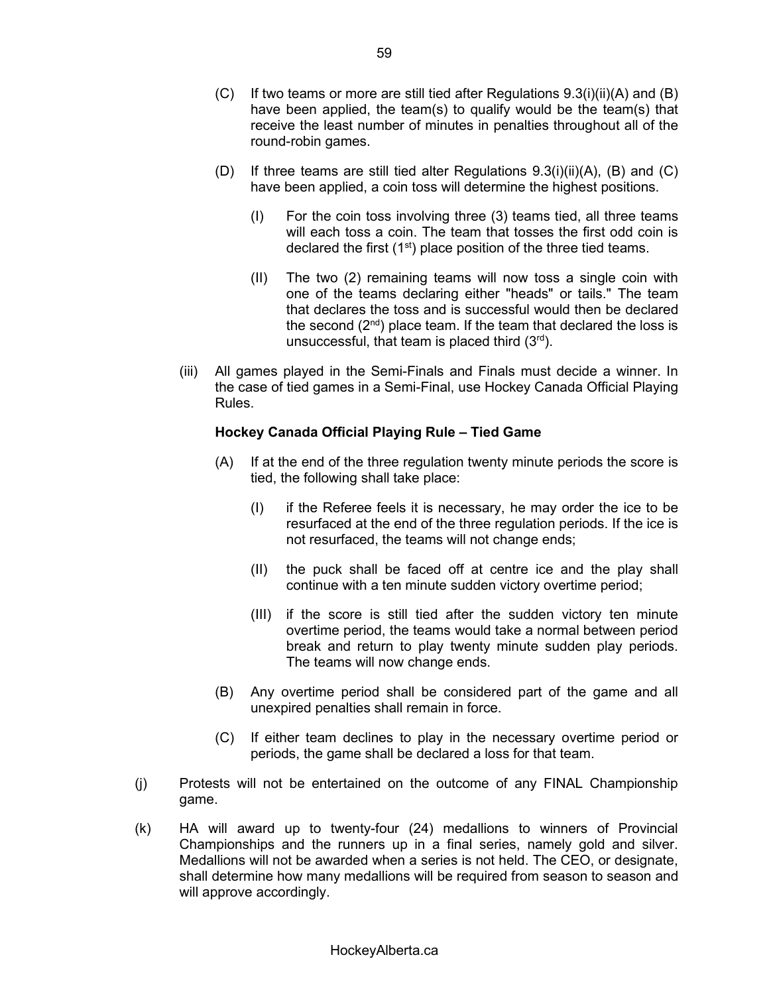- (C) If two teams or more are still tied after Regulations 9.3(i)(ii)(A) and (B) have been applied, the team(s) to qualify would be the team(s) that receive the least number of minutes in penalties throughout all of the round-robin games.
- (D) If three teams are still tied alter Regulations  $9.3(i)(ii)(A)$ , (B) and (C) have been applied, a coin toss will determine the highest positions.
	- (I) For the coin toss involving three (3) teams tied, all three teams will each toss a coin. The team that tosses the first odd coin is declared the first  $(1<sup>st</sup>)$  place position of the three tied teams.
	- (II) The two (2) remaining teams will now toss a single coin with one of the teams declaring either "heads" or tails." The team that declares the toss and is successful would then be declared the second  $(2<sup>nd</sup>)$  place team. If the team that declared the loss is unsuccessful, that team is placed third  $(3<sup>rd</sup>)$ .
- (iii) All games played in the Semi-Finals and Finals must decide a winner. In the case of tied games in a Semi-Final, use Hockey Canada Official Playing Rules.

### **Hockey Canada Official Playing Rule - Tied Game**

- (A) If at the end of the three regulation twenty minute periods the score is tied, the following shall take place:
	- (I) if the Referee feels it is necessary, he may order the ice to be resurfaced at the end of the three regulation periods. If the ice is not resurfaced, the teams will not change ends;
	- (II) the puck shall be faced off at centre ice and the play shall continue with a ten minute sudden victory overtime period;
	- (III) if the score is still tied after the sudden victory ten minute overtime period, the teams would take a normal between period break and return to play twenty minute sudden play periods. The teams will now change ends.
- (B) Any overtime period shall be considered part of the game and all unexpired penalties shall remain in force.
- (C) If either team declines to play in the necessary overtime period or periods, the game shall be declared a loss for that team.
- (j) Protests will not be entertained on the outcome of any FINAL Championship game.
- (k) HA will award up to twenty-four (24) medallions to winners of Provincial Championships and the runners up in a final series, namely gold and silver. Medallions will not be awarded when a series is not held. The CEO, or designate, shall determine how many medallions will be required from season to season and will approve accordingly.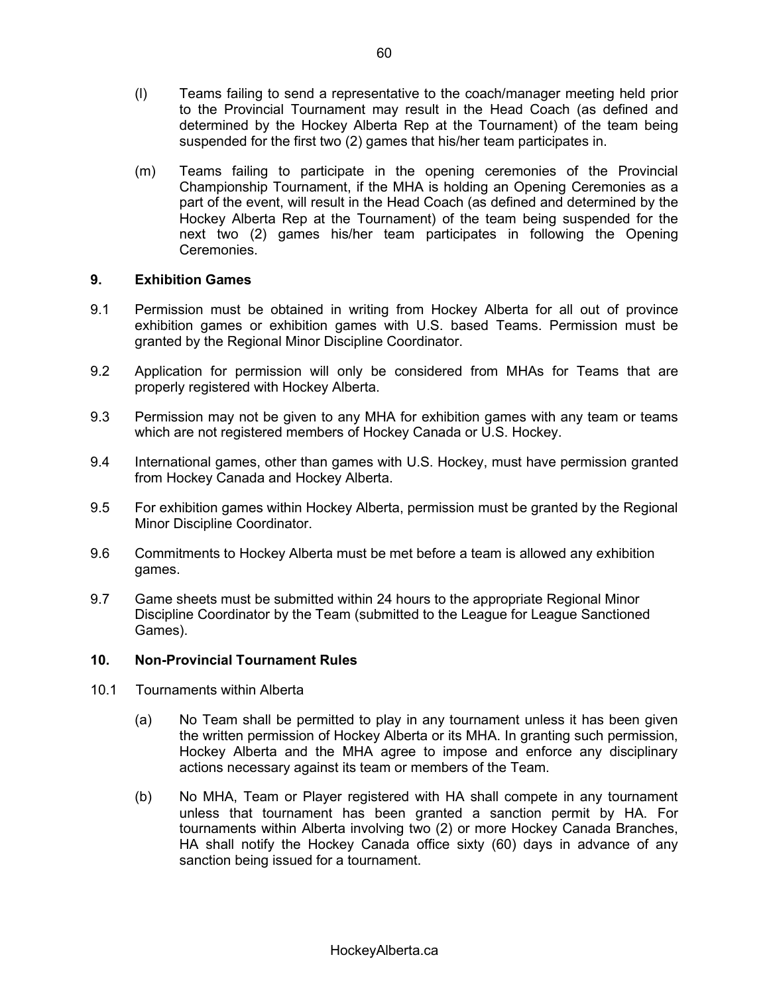- (l) Teams failing to send a representative to the coach/manager meeting held prior to the Provincial Tournament may result in the Head Coach (as defined and determined by the Hockey Alberta Rep at the Tournament) of the team being suspended for the first two (2) games that his/her team participates in.
- (m) Teams failing to participate in the opening ceremonies of the Provincial Championship Tournament, if the MHA is holding an Opening Ceremonies as a part of the event, will result in the Head Coach (as defined and determined by the Hockey Alberta Rep at the Tournament) of the team being suspended for the next two (2) games his/her team participates in following the Opening Ceremonies.

### **9. Exhibition Games**

- 9.1 Permission must be obtained in writing from Hockey Alberta for all out of province exhibition games or exhibition games with U.S. based Teams. Permission must be granted by the Regional Minor Discipline Coordinator.
- 9.2 Application for permission will only be considered from MHAs for Teams that are properly registered with Hockey Alberta.
- 9.3 Permission may not be given to any MHA for exhibition games with any team or teams which are not registered members of Hockey Canada or U.S. Hockey.
- 9.4 International games, other than games with U.S. Hockey, must have permission granted from Hockey Canada and Hockey Alberta.
- 9.5 For exhibition games within Hockey Alberta, permission must be granted by the Regional Minor Discipline Coordinator.
- 9.6 Commitments to Hockey Alberta must be met before a team is allowed any exhibition games.
- 9.7 Game sheets must be submitted within 24 hours to the appropriate Regional Minor Discipline Coordinator by the Team (submitted to the League for League Sanctioned Games).

# **10. Non-Provincial Tournament Rules**

- 10.1 Tournaments within Alberta
	- (a) No Team shall be permitted to play in any tournament unless it has been given the written permission of Hockey Alberta or its MHA. In granting such permission, Hockey Alberta and the MHA agree to impose and enforce any disciplinary actions necessary against its team or members of the Team.
	- (b) No MHA, Team or Player registered with HA shall compete in any tournament unless that tournament has been granted a sanction permit by HA. For tournaments within Alberta involving two (2) or more Hockey Canada Branches, HA shall notify the Hockey Canada office sixty (60) days in advance of any sanction being issued for a tournament.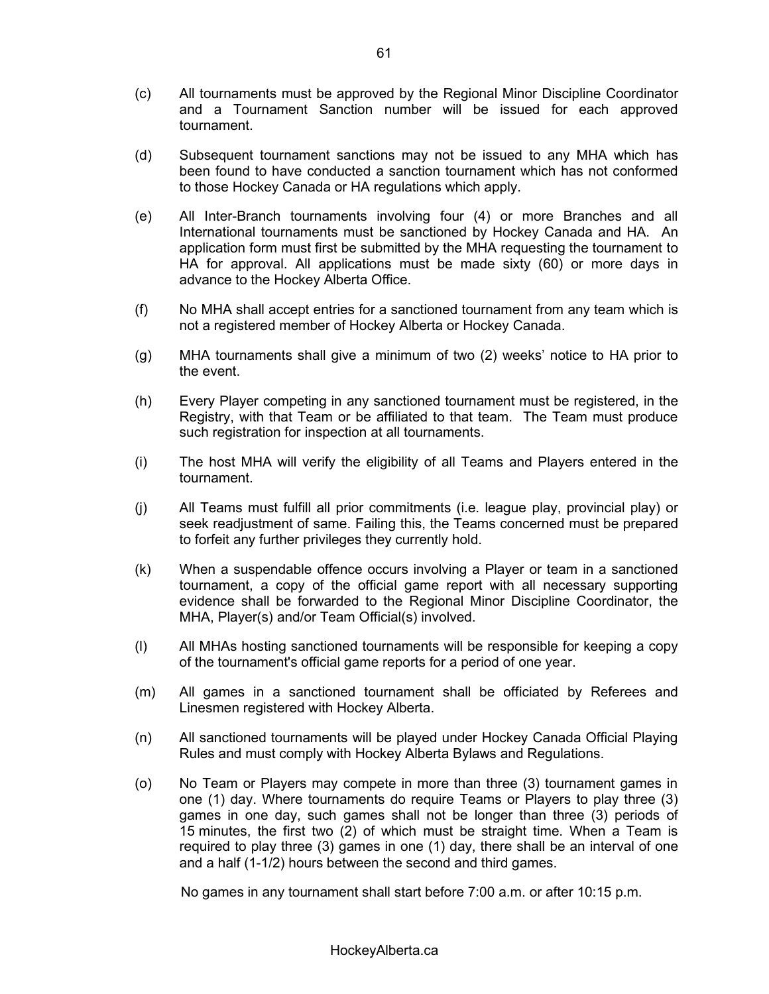- (c) All tournaments must be approved by the Regional Minor Discipline Coordinator and a Tournament Sanction number will be issued for each approved tournament.
- (d) Subsequent tournament sanctions may not be issued to any MHA which has been found to have conducted a sanction tournament which has not conformed to those Hockey Canada or HA regulations which apply.
- (e) All Inter-Branch tournaments involving four (4) or more Branches and all International tournaments must be sanctioned by Hockey Canada and HA. An application form must first be submitted by the MHA requesting the tournament to HA for approval. All applications must be made sixty (60) or more days in advance to the Hockey Alberta Office.
- (f) No MHA shall accept entries for a sanctioned tournament from any team which is not a registered member of Hockey Alberta or Hockey Canada.
- (g) MHA tournaments shall give a minimum of two  $(2)$  weeks' notice to HA prior to the event.
- (h) Every Player competing in any sanctioned tournament must be registered, in the Registry, with that Team or be affiliated to that team. The Team must produce such registration for inspection at all tournaments.
- (i) The host MHA will verify the eligibility of all Teams and Players entered in the tournament.
- (j) All Teams must fulfill all prior commitments (i.e. league play, provincial play) or seek readjustment of same. Failing this, the Teams concerned must be prepared to forfeit any further privileges they currently hold.
- (k) When a suspendable offence occurs involving a Player or team in a sanctioned tournament, a copy of the official game report with all necessary supporting evidence shall be forwarded to the Regional Minor Discipline Coordinator, the MHA, Player(s) and/or Team Official(s) involved.
- (l) All MHAs hosting sanctioned tournaments will be responsible for keeping a copy of the tournament's official game reports for a period of one year.
- (m) All games in a sanctioned tournament shall be officiated by Referees and Linesmen registered with Hockey Alberta.
- (n) All sanctioned tournaments will be played under Hockey Canada Official Playing Rules and must comply with Hockey Alberta Bylaws and Regulations.
- (o) No Team or Players may compete in more than three (3) tournament games in one (1) day. Where tournaments do require Teams or Players to play three (3) games in one day, such games shall not be longer than three (3) periods of 15 minutes, the first two (2) of which must be straight time. When a Team is required to play three (3) games in one (1) day, there shall be an interval of one and a half (1-1/2) hours between the second and third games.

No games in any tournament shall start before 7:00 a.m. or after 10:15 p.m.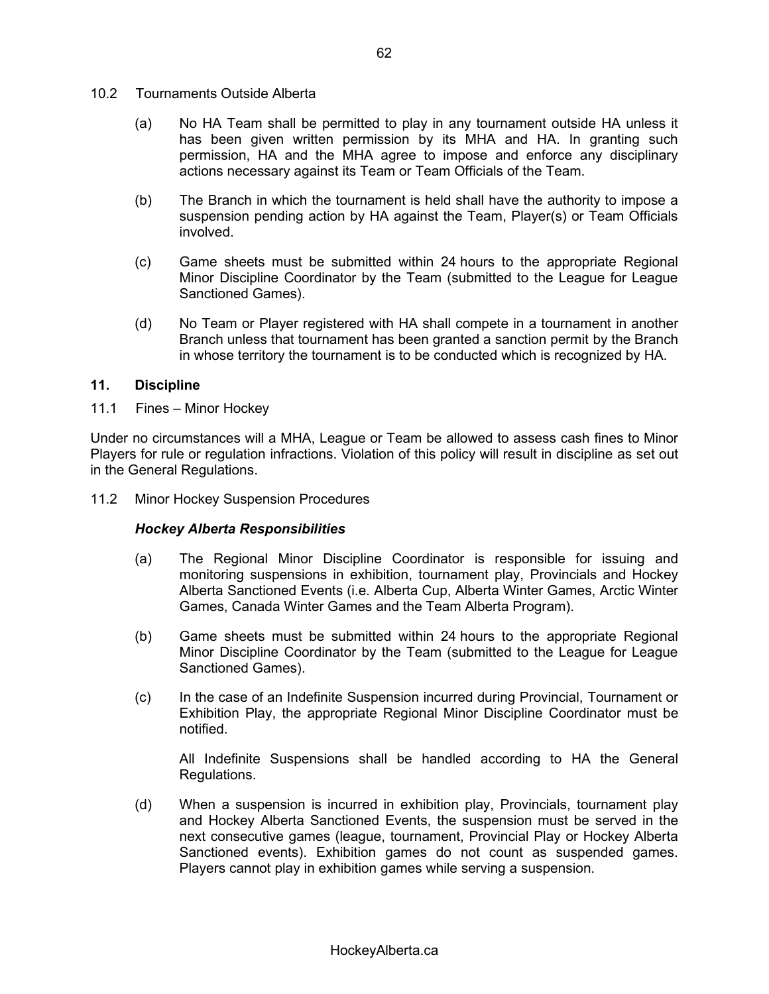- 10.2 Tournaments Outside Alberta
	- (a) No HA Team shall be permitted to play in any tournament outside HA unless it has been given written permission by its MHA and HA. In granting such permission, HA and the MHA agree to impose and enforce any disciplinary actions necessary against its Team or Team Officials of the Team.
	- (b) The Branch in which the tournament is held shall have the authority to impose a suspension pending action by HA against the Team, Player(s) or Team Officials involved.
	- (c) Game sheets must be submitted within 24 hours to the appropriate Regional Minor Discipline Coordinator by the Team (submitted to the League for League Sanctioned Games).
	- (d) No Team or Player registered with HA shall compete in a tournament in another Branch unless that tournament has been granted a sanction permit by the Branch in whose territory the tournament is to be conducted which is recognized by HA.

### **11. Discipline**

11.1 Fines - Minor Hockev

Under no circumstances will a MHA, League or Team be allowed to assess cash fines to Minor Players for rule or regulation infractions. Violation of this policy will result in discipline as set out in the General Regulations.

11.2 Minor Hockey Suspension Procedures

# *Hockey Alberta Responsibilities*

- (a) The Regional Minor Discipline Coordinator is responsible for issuing and monitoring suspensions in exhibition, tournament play, Provincials and Hockey Alberta Sanctioned Events (i.e. Alberta Cup, Alberta Winter Games, Arctic Winter Games, Canada Winter Games and the Team Alberta Program).
- (b) Game sheets must be submitted within 24 hours to the appropriate Regional Minor Discipline Coordinator by the Team (submitted to the League for League Sanctioned Games).
- (c) In the case of an Indefinite Suspension incurred during Provincial, Tournament or Exhibition Play, the appropriate Regional Minor Discipline Coordinator must be notified.

All Indefinite Suspensions shall be handled according to HA the General Regulations.

(d) When a suspension is incurred in exhibition play, Provincials, tournament play and Hockey Alberta Sanctioned Events, the suspension must be served in the next consecutive games (league, tournament, Provincial Play or Hockey Alberta Sanctioned events). Exhibition games do not count as suspended games. Players cannot play in exhibition games while serving a suspension.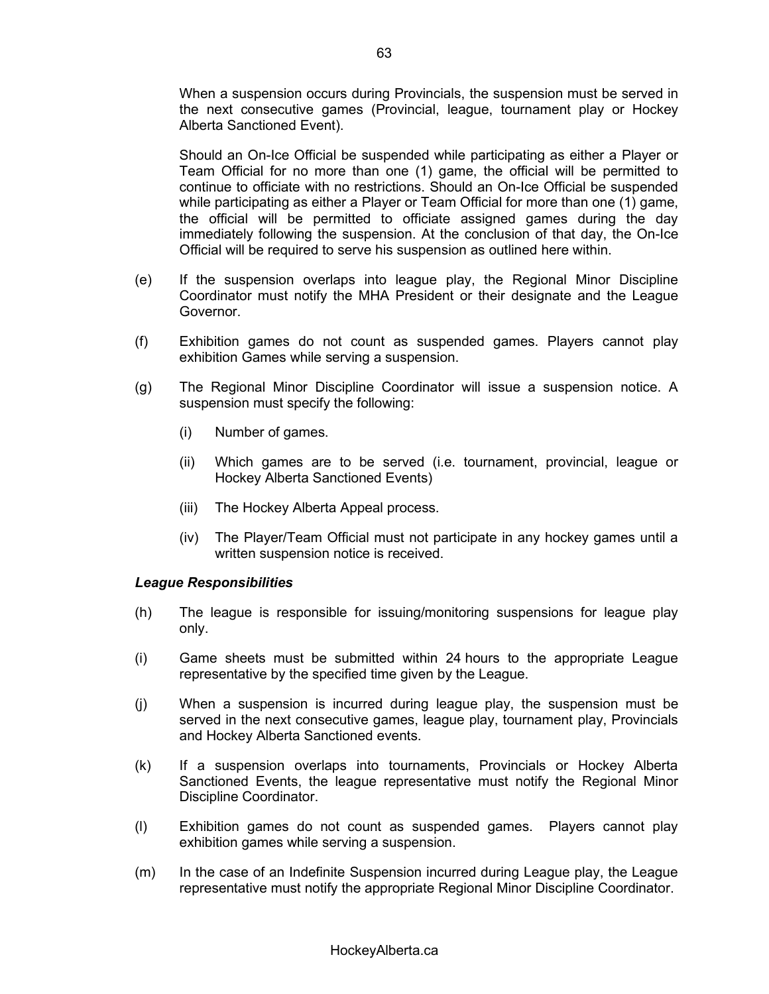When a suspension occurs during Provincials, the suspension must be served in the next consecutive games (Provincial, league, tournament play or Hockey Alberta Sanctioned Event).

Should an On-Ice Official be suspended while participating as either a Player or Team Official for no more than one (1) game, the official will be permitted to continue to officiate with no restrictions. Should an On-Ice Official be suspended while participating as either a Player or Team Official for more than one (1) game, the official will be permitted to officiate assigned games during the day immediately following the suspension. At the conclusion of that day, the On-Ice Official will be required to serve his suspension as outlined here within.

- (e) If the suspension overlaps into league play, the Regional Minor Discipline Coordinator must notify the MHA President or their designate and the League Governor.
- (f) Exhibition games do not count as suspended games. Players cannot play exhibition Games while serving a suspension.
- (g) The Regional Minor Discipline Coordinator will issue a suspension notice. A suspension must specify the following:
	- (i) Number of games.
	- (ii) Which games are to be served (i.e. tournament, provincial, league or Hockey Alberta Sanctioned Events)
	- (iii) The Hockey Alberta Appeal process.
	- (iv) The Player/Team Official must not participate in any hockey games until a written suspension notice is received.

#### *League Responsibilities*

- (h) The league is responsible for issuing/monitoring suspensions for league play only.
- (i) Game sheets must be submitted within 24 hours to the appropriate League representative by the specified time given by the League.
- (j) When a suspension is incurred during league play, the suspension must be served in the next consecutive games, league play, tournament play, Provincials and Hockey Alberta Sanctioned events.
- (k) If a suspension overlaps into tournaments, Provincials or Hockey Alberta Sanctioned Events, the league representative must notify the Regional Minor Discipline Coordinator.
- (l) Exhibition games do not count as suspended games. Players cannot play exhibition games while serving a suspension.
- (m) In the case of an Indefinite Suspension incurred during League play, the League representative must notify the appropriate Regional Minor Discipline Coordinator.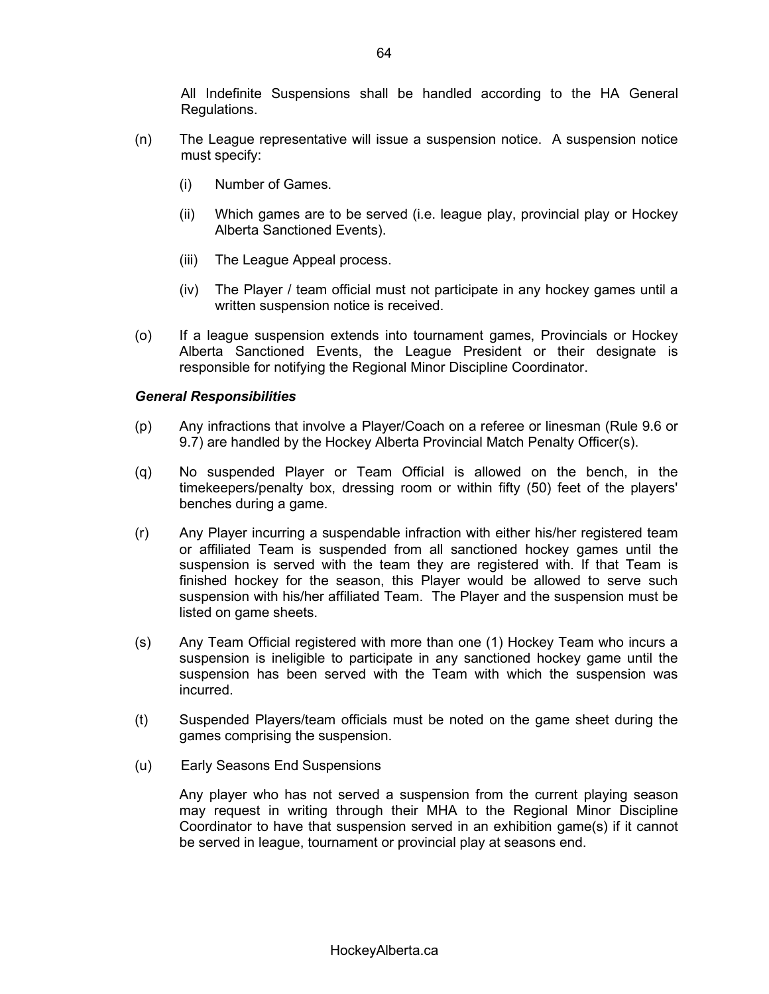All Indefinite Suspensions shall be handled according to the HA General Regulations.

- (n) The League representative will issue a suspension notice. A suspension notice must specify:
	- (i) Number of Games.
	- (ii) Which games are to be served (i.e. league play, provincial play or Hockey Alberta Sanctioned Events).
	- (iii) The League Appeal process.
	- (iv) The Player / team official must not participate in any hockey games until a written suspension notice is received.
- (o) If a league suspension extends into tournament games, Provincials or Hockey Alberta Sanctioned Events, the League President or their designate is responsible for notifying the Regional Minor Discipline Coordinator.

#### *General Responsibilities*

- (p) Any infractions that involve a Player/Coach on a referee or linesman (Rule 9.6 or 9.7) are handled by the Hockey Alberta Provincial Match Penalty Officer(s).
- (q) No suspended Player or Team Official is allowed on the bench, in the timekeepers/penalty box, dressing room or within fifty (50) feet of the players' benches during a game.
- (r) Any Player incurring a suspendable infraction with either his/her registered team or affiliated Team is suspended from all sanctioned hockey games until the suspension is served with the team they are registered with. If that Team is finished hockey for the season, this Player would be allowed to serve such suspension with his/her affiliated Team. The Player and the suspension must be listed on game sheets.
- (s) Any Team Official registered with more than one (1) Hockey Team who incurs a suspension is ineligible to participate in any sanctioned hockey game until the suspension has been served with the Team with which the suspension was incurred.
- (t) Suspended Players/team officials must be noted on the game sheet during the games comprising the suspension.
- (u) Early Seasons End Suspensions

Any player who has not served a suspension from the current playing season may request in writing through their MHA to the Regional Minor Discipline Coordinator to have that suspension served in an exhibition game(s) if it cannot be served in league, tournament or provincial play at seasons end.